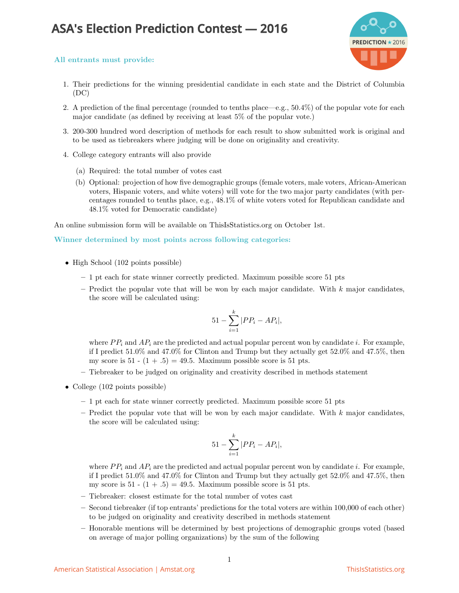## **ASA's Election Prediction Contest — 2016**



## All entrants must provide:

- 1. Their predictions for the winning presidential candidate in each state and the District of Columbia (DC)
- 2. A prediction of the final percentage (rounded to tenths place—e.g., 50.4%) of the popular vote for each major candidate (as defined by receiving at least 5% of the popular vote.)
- 3. 200-300 hundred word description of methods for each result to show submitted work is original and to be used as tiebreakers where judging will be done on originality and creativity.
- 4. College category entrants will also provide
	- (a) Required: the total number of votes cast
	- (b) Optional: projection of how five demographic groups (female voters, male voters, African-American voters, Hispanic voters, and white voters) will vote for the two major party candidates (with percentages rounded to tenths place, e.g., 48.1% of white voters voted for Republican candidate and 48.1% voted for Democratic candidate)

An online submission form will be available on ThisIsStatistics.org on October 1st.

## Winner determined by most points across following categories:

- High School (102 points possible)
	- 1 pt each for state winner correctly predicted. Maximum possible score 51 pts
	- Predict the popular vote that will be won by each major candidate. With  $k$  major candidates, the score will be calculated using:

$$
51 - \sum_{i=1}^{k} |PP_i - AP_i|,
$$

where  $PP_i$  and  $AP_i$  are the predicted and actual popular percent won by candidate i. For example, if I predict 51.0% and 47.0% for Clinton and Trump but they actually get 52.0% and 47.5%, then my score is  $51 - (1 + .5) = 49.5$ . Maximum possible score is 51 pts.

- Tiebreaker to be judged on originality and creativity described in methods statement
- College (102 points possible)
	- 1 pt each for state winner correctly predicted. Maximum possible score 51 pts
	- Predict the popular vote that will be won by each major candidate. With  $k$  major candidates, the score will be calculated using:

$$
51 - \sum_{i=1}^{k} |PP_i - AP_i|,
$$

where  $PP_i$  and  $AP_i$  are the predicted and actual popular percent won by candidate i. For example, if I predict 51.0% and 47.0% for Clinton and Trump but they actually get 52.0% and 47.5%, then my score is  $51 - (1 + .5) = 49.5$ . Maximum possible score is 51 pts.

- Tiebreaker: closest estimate for the total number of votes cast
- Second tiebreaker (if top entrants' predictions for the total voters are within 100,000 of each other) to be judged on originality and creativity described in methods statement
- Honorable mentions will be determined by best projections of demographic groups voted (based on average of major polling organizations) by the sum of the following